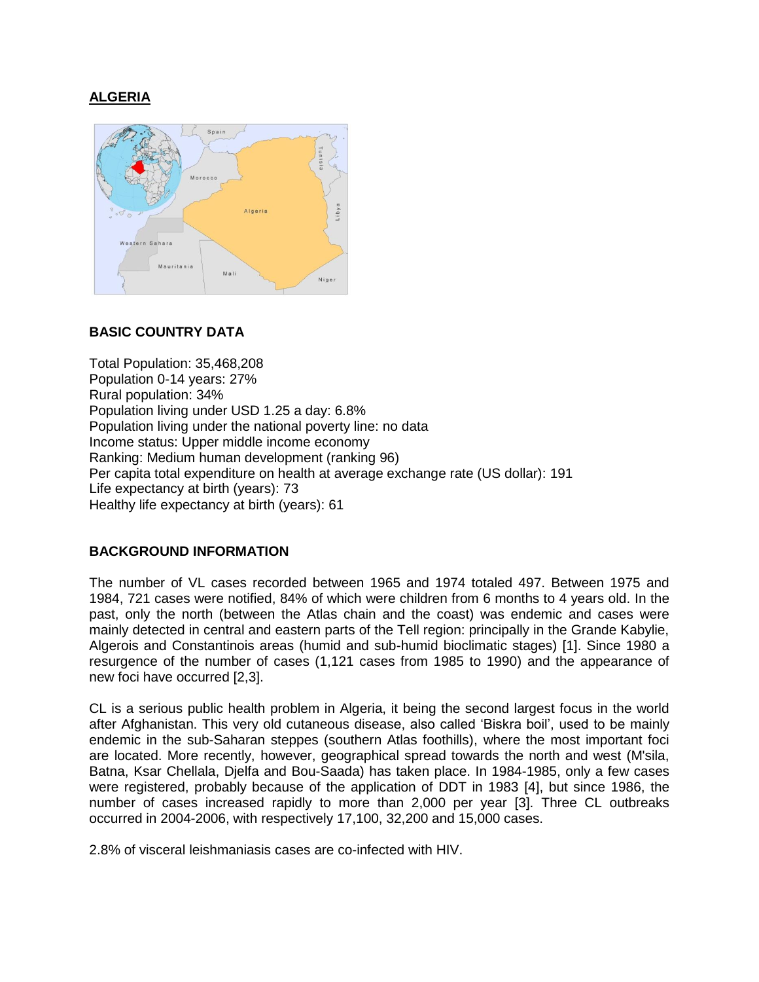# **ALGERIA**



## **BASIC COUNTRY DATA**

Total Population: 35,468,208 Population 0-14 years: 27% Rural population: 34% Population living under USD 1.25 a day: 6.8% Population living under the national poverty line: no data Income status: Upper middle income economy Ranking: Medium human development (ranking 96) Per capita total expenditure on health at average exchange rate (US dollar): 191 Life expectancy at birth (years): 73 Healthy life expectancy at birth (years): 61

## **BACKGROUND INFORMATION**

The number of VL cases recorded between 1965 and 1974 totaled 497. Between 1975 and 1984, 721 cases were notified, 84% of which were children from 6 months to 4 years old. In the past, only the north (between the Atlas chain and the coast) was endemic and cases were mainly detected in central and eastern parts of the Tell region: principally in the Grande Kabylie, Algerois and Constantinois areas (humid and sub-humid bioclimatic stages) [1]. Since 1980 a resurgence of the number of cases (1,121 cases from 1985 to 1990) and the appearance of new foci have occurred [2,3].

CL is a serious public health problem in Algeria, it being the second largest focus in the world after Afghanistan. This very old cutaneous disease, also called 'Biskra boil', used to be mainly endemic in the sub-Saharan steppes (southern Atlas foothills), where the most important foci are located. More recently, however, geographical spread towards the north and west (M'sila, Batna, Ksar Chellala, Djelfa and Bou-Saada) has taken place. In 1984-1985, only a few cases were registered, probably because of the application of DDT in 1983 [4], but since 1986, the number of cases increased rapidly to more than 2,000 per year [3]. Three CL outbreaks occurred in 2004-2006, with respectively 17,100, 32,200 and 15,000 cases.

2.8% of visceral leishmaniasis cases are co-infected with HIV.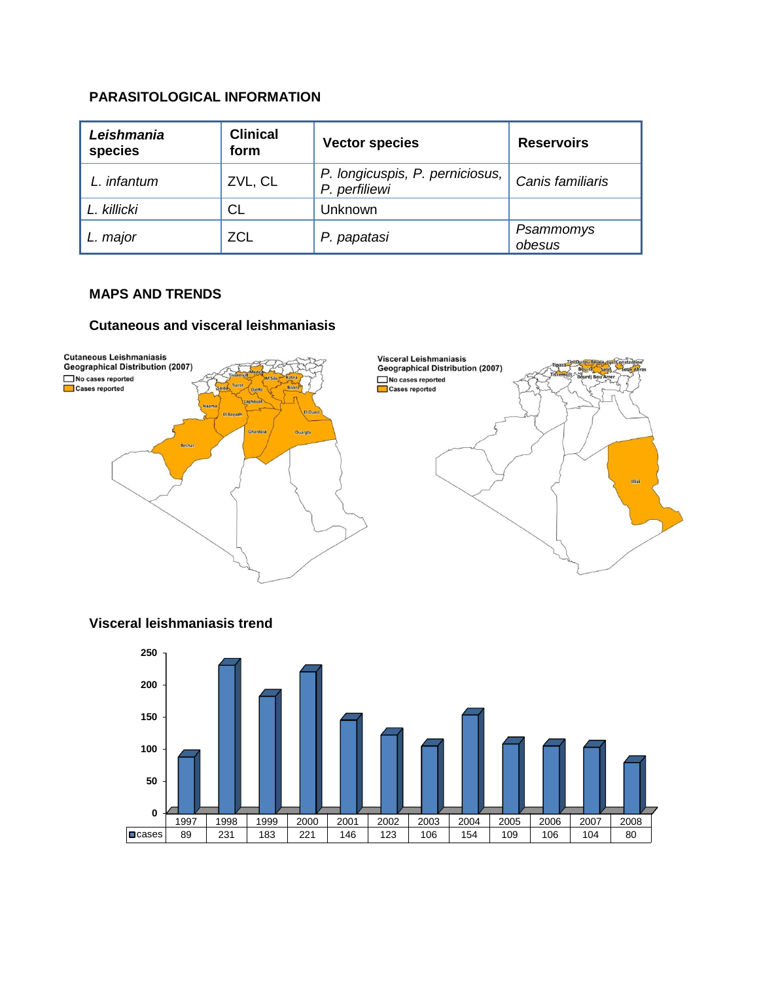## **PARASITOLOGICAL INFORMATION**

| Leishmania<br>species | <b>Clinical</b><br>form | <b>Vector species</b>                            | <b>Reservoirs</b>   |
|-----------------------|-------------------------|--------------------------------------------------|---------------------|
| L. infantum           | ZVL, CL                 | P. longicuspis, P. perniciosus,<br>P. perfiliewi | Canis familiaris    |
| L. killicki           | CL                      | Unknown                                          |                     |
| major                 | <b>ZCL</b>              | P. papatasi                                      | Psammomys<br>obesus |

#### **MAPS AND TRENDS**

#### **Cutaneous and visceral leishmaniasis**



## **Visceral leishmaniasis trend**

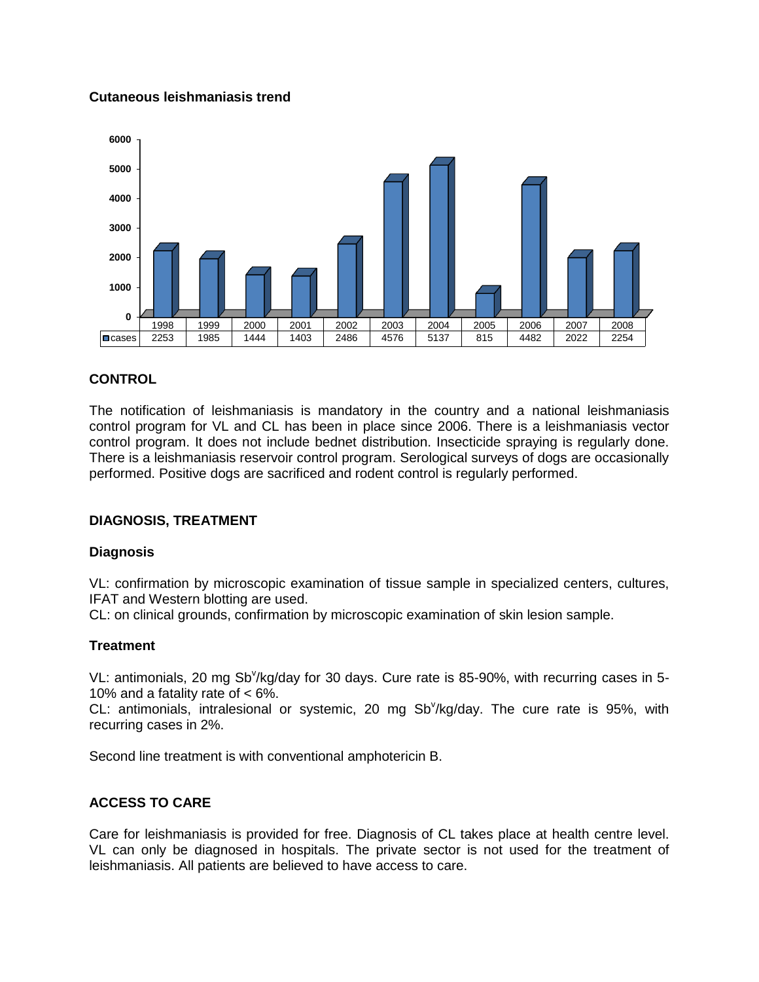## **Cutaneous leishmaniasis trend**



## **CONTROL**

The notification of leishmaniasis is mandatory in the country and a national leishmaniasis control program for VL and CL has been in place since 2006. There is a leishmaniasis vector control program. It does not include bednet distribution. Insecticide spraying is regularly done. There is a leishmaniasis reservoir control program. Serological surveys of dogs are occasionally performed. Positive dogs are sacrificed and rodent control is regularly performed.

## **DIAGNOSIS, TREATMENT**

#### **Diagnosis**

VL: confirmation by microscopic examination of tissue sample in specialized centers, cultures, IFAT and Western blotting are used.

CL: on clinical grounds, confirmation by microscopic examination of skin lesion sample.

## **Treatment**

VL: antimonials, 20 mg Sb<sup>v</sup>/kg/day for 30 days. Cure rate is 85-90%, with recurring cases in 5-10% and a fatality rate of < 6%.

CL: antimonials, intralesional or systemic, 20 mg Sb<sup>v</sup>/kg/day. The cure rate is 95%, with recurring cases in 2%.

Second line treatment is with conventional amphotericin B.

## **ACCESS TO CARE**

Care for leishmaniasis is provided for free. Diagnosis of CL takes place at health centre level. VL can only be diagnosed in hospitals. The private sector is not used for the treatment of leishmaniasis. All patients are believed to have access to care.